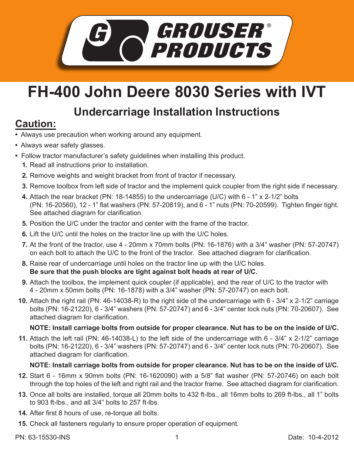

# **FH-400 John Deere 8030 Series with IVT**

## **Undercarriage Installation Instructions**

### **Caution:**

- Always use precaution when working around any equipment.
- Always wear safety glasses.
- Follow tractor manufacturer's safety guidelines when installing this product.
	- **1.** Read all instructions prior to installation.
	- **2.** Remove weights and weight bracket from front of tractor if necessary.
	- **3.** Remove toolbox from left side of tractor and the implement quick coupler from the right side if necessary.
	- Attach the rear bracket (PN: 18-14855) to the undercarriage (U/C) with 6 1" x 2-1/2" bolts **4.** (PN: 16-20560), 12 - 1" flat washers (PN: 57-20819), and 6 - 1" nuts (PN: 70-20599). Tighten finger tight. See attached diagram for clarification.
	- **5.** Position the U/C under the tractor and center with the frame of the tractor.
	- **6.** Lift the U/C until the holes on the tractor line up with the U/C holes.
	- At the front of the tractor, use 4 20mm x 70mm bolts (PN: 16-1876) with a 3/4" washer (PN: 57-20747) **7.** on each bolt to attach the U/C to the front of the tractor. See attached diagram for clarification.
	- Raise rear of undercarriage until holes on the tractor line up with the U/C holes. **8. Be sure that the push blocks are tight against bolt heads at rear of U/C.**
	- **9.** Attach the toolbox, the implement quick coupler (if applicable), and the rear of U/C to the tractor with 4 - 20mm x 50mm bolts (PN: 16-1878) with a 3/4" washer (PN: 57-20747) on each bolt.
	- Attach the right rail (PN: 46-14038-R) to the right side of the undercarriage with 6 3/4" x 2-1/2" carriage **10.** bolts (PN: 16-21220), 6 - 3/4" washers (PN: 57-20747) and 6 - 3/4" center lock nuts (PN: 70-20607). See attached diagram for clarification.

### **NOTE: Install carriage bolts from outside for proper clearance. Nut has to be on the inside of U/C.**

Attach the left rail (PN: 46-14038-L) to the left side of the undercarriage with 6 - 3/4" x 2-1/2" carriage **11.** bolts (PN: 16-21220), 6 - 3/4" washers (PN: 57-20747) and 6 - 3/4" center lock nuts (PN: 70-20607). See attached diagram for clarification.

#### **NOTE: Install carriage bolts from outside for proper clearance. Nut has to be on the inside of U/C.**

- **12.** Start 6 16mm x 90mm bolts (PN: 16-1620090) with a 5/8" flat washer (PN: 57-20746) on each bolt through the top holes of the left and right rail and the tractor frame. See attached diagram for clarification.
- **13.** Once all bolts are installed, torque all 20mm bolts to 432 ft-lbs., all 16mm bolts to 269 ft-lbs., all 1" bolts to 903 ft-lbs., and all 3/4" bolts to 257 ft-lbs.
- **14.** After first 8 hours of use, re-torque all bolts.
- **15.** Check all fasteners regularly to ensure proper operation of equipment.